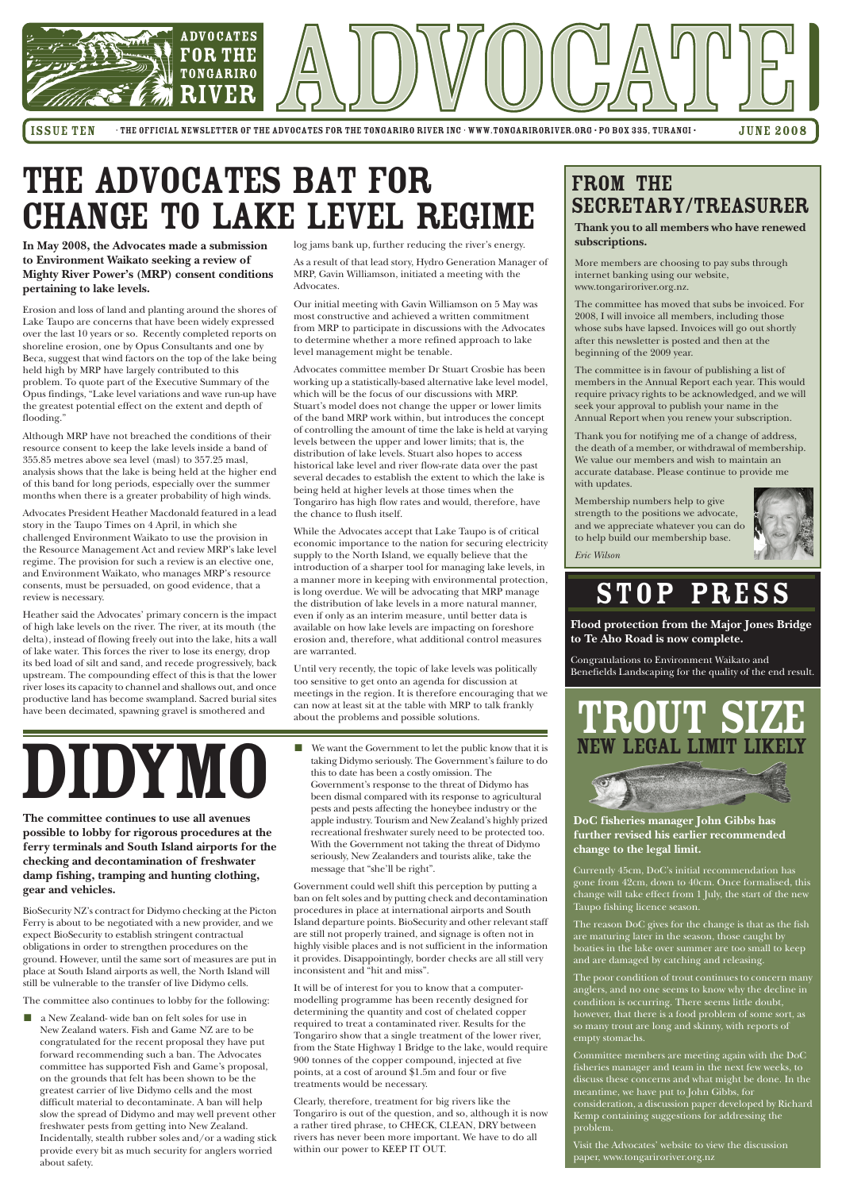

ISSUE TEN • THE OFFICIAL NEWSLETTER OF THE ADVOCATES FOR THE TONGARIRO RIVER INC · WWW.TONGARIRORIVER.ORG · PO BOX 335, TURANGI • JUNE 2008

**The committee continues to use all avenues possible to lobby for rigorous procedures at the ferry terminals and South Island airports for the checking and decontamination of freshwater damp fishing, tramping and hunting clothing,**

**gear and vehicles.**

BioSecurity NZ's contract for Didymo checking at the Picton Ferry is about to be negotiated with a new provider, and we expect BioSecurity to establish stringent contractual obligations in order to strengthen procedures on the ground. However, until the same sort of measures are put in place at South Island airports as well, the North Island will still be vulnerable to the transfer of live Didymo cells.

 $\blacksquare$  a New Zealand- wide ban on felt soles for use in New Zealand waters. Fish and Game NZ are to be congratulated for the recent proposal they have put forward recommending such a ban. The Advocates committee has supported Fish and Game's proposal, on the grounds that felt has been shown to be the greatest carrier of live Didymo cells and the most difficult material to decontaminate. A ban will help slow the spread of Didymo and may well prevent other freshwater pests from getting into New Zealand. Incidentally, stealth rubber soles and/or a wading stick provide every bit as much security for anglers worried about safety.

The committee also continues to lobby for the following:

**In May 2008, the Advocates made a submission to Environment Waikato seeking a review of Mighty River Power's (MRP) consent conditions pertaining to lake levels.**

Erosion and loss of land and planting around the shores of Lake Taupo are concerns that have been widely expressed over the last 10 years or so. Recently completed reports on shoreline erosion, one by Opus Consultants and one by Beca, suggest that wind factors on the top of the lake being held high by MRP have largely contributed to this problem. To quote part of the Executive Summary of the Opus findings, "Lake level variations and wave run-up have the greatest potential effect on the extent and depth of flooding."

Although MRP have not breached the conditions of their resource consent to keep the lake levels inside a band of 355.85 metres above sea level (masl) to 357.25 masl, analysis shows that the lake is being held at the higher end of this band for long periods, especially over the summer months when there is a greater probability of high winds.

Advocates President Heather Macdonald featured in a lead story in the Taupo Times on 4 April, in which she challenged Environment Waikato to use the provision in the Resource Management Act and review MRP's lake level regime. The provision for such a review is an elective one, and Environment Waikato, who manages MRP's resource consents, must be persuaded, on good evidence, that a review is necessary.

> The poor condition of trout continues to concern many anglers, and no one seems to know why the decline in condition is occurring. There seems little doubt, however, that there is a food problem of some sort, as so many trout are long and skinny, with reports of empty stomachs.

Heather said the Advocates' primary concern is the impact of high lake levels on the river. The river, at its mouth (the delta), instead of flowing freely out into the lake, hits a wall of lake water. This forces the river to lose its energy, drop its bed load of silt and sand, and recede progressively, back upstream. The compounding effect of this is that the lower river loses its capacity to channel and shallows out, and once productive land has become swampland. Sacred burial sites have been decimated, spawning gravel is smothered and

log jams bank up, further reducing the river's energy.

As a result of that lead story, Hydro Generation Manager of MRP, Gavin Williamson, initiated a meeting with the Advocates.

Our initial meeting with Gavin Williamson on 5 May was most constructive and achieved a written commitment from MRP to participate in discussions with the Advocates to determine whether a more refined approach to lake level management might be tenable.

Advocates committee member Dr Stuart Crosbie has been working up a statistically-based alternative lake level model, which will be the focus of our discussions with MRP. Stuart's model does not change the upper or lower limits of the band MRP work within, but introduces the concept of controlling the amount of time the lake is held at varying levels between the upper and lower limits; that is, the distribution of lake levels. Stuart also hopes to access historical lake level and river flow-rate data over the past several decades to establish the extent to which the lake is being held at higher levels at those times when the Tongariro has high flow rates and would, therefore, have the chance to flush itself.

While the Advocates accept that Lake Taupo is of critical economic importance to the nation for securing electricity supply to the North Island, we equally believe that the introduction of a sharper tool for managing lake levels, in a manner more in keeping with environmental protection, is long overdue. We will be advocating that MRP manage the distribution of lake levels in a more natural manner, even if only as an interim measure, until better data is available on how lake levels are impacting on foreshore erosion and, therefore, what additional control measures are warranted.

Until very recently, the topic of lake levels was politically too sensitive to get onto an agenda for discussion at meetings in the region. It is therefore encouraging that we can now at least sit at the table with MRP to talk frankly about the problems and possible solutions.

> **DoC fisheries manager John Gibbs has further revised his earlier recommended change to the legal limit.**

Currently 45cm, DoC's initial recommendation has gone from 42cm, down to 40cm. Once formalised, this change will take effect from 1 July, the start of the new

Taupo fishing licence season.

The reason DoC gives for the change is that as the fish are maturing later in the season, those caught by boaties in the lake over summer are too small to keep and are damaged by catching and releasing.

Committee members are meeting again with the DoC fisheries manager and team in the next few weeks, to discuss these concerns and what might be done. In the meantime, we have put to John Gibbs, for consideration, a discussion paper developed by Richard Kemp containing suggestions for addressing the problem.

Visit the Advocates' website to view the discussion paper, www.tongariroriver.org.nz

### FROM THE Secretary/Treasurer

**Thank you to all members who have renewed subscriptions.**

More members are choosing to pay subs through internet banking using our website, www.tongariroriver.org.nz.

The committee has moved that subs be invoiced. For 2008, I will invoice all members, including those whose subs have lapsed. Invoices will go out shortly after this newsletter is posted and then at the beginning of the 2009 year.

The committee is in favour of publishing a list of members in the Annual Report each year. This would require privacy rights to be acknowledged, and we will seek your approval to publish your name in the Annual Report when you renew your subscription.

Thank you for notifying me of a change of address, the death of a member, or withdrawal of membership. We value our members and wish to maintain an accurate database. Please continue to provide me with updates.

Membership numbers help to give strength to the positions we advocate, and we appreciate whatever you can do to help build our membership base.

*Eric Wilson*



## THE ADVOCATES BAT FOR CHANGE TO LAKE LEVEL REGIME

- We want the Government to let the public know that it is taking Didymo seriously. The Government's failure to do this to date has been a costly omission. The Government's response to the threat of Didymo has been dismal compared with its response to agricultural pests and pests affecting the honeybee industry or the apple industry. Tourism and New Zealand's highly prized recreational freshwater surely need to be protected too. With the Government not taking the threat of Didymo seriously, New Zealanders and tourists alike, take the message that "she'll be right".

Government could well shift this perception by putting a ban on felt soles and by putting check and decontamination procedures in place at international airports and South Island departure points. BioSecurity and other relevant staff are still not properly trained, and signage is often not in highly visible places and is not sufficient in the information it provides. Disappointingly, border checks are all still very inconsistent and "hit and miss".

It will be of interest for you to know that a computermodelling programme has been recently designed for determining the quantity and cost of chelated copper required to treat a contaminated river. Results for the Tongariro show that a single treatment of the lower river, from the State Highway 1 Bridge to the lake, would require 900 tonnes of the copper compound, injected at five points, at a cost of around \$1.5m and four or five treatments would be necessary.

Clearly, therefore, treatment for big rivers like the Tongariro is out of the question, and so, although it is now a rather tired phrase, to CHECK, CLEAN, DRY between rivers has never been more important. We have to do all within our power to KEEP IT OUT.

DIDYMO





**Flood protection from the Major Jones Bridge to Te Aho Road is now complete.**

Congratulations to Environment Waikato and Benefields Landscaping for the quality of the end result.

## STOP PRESS